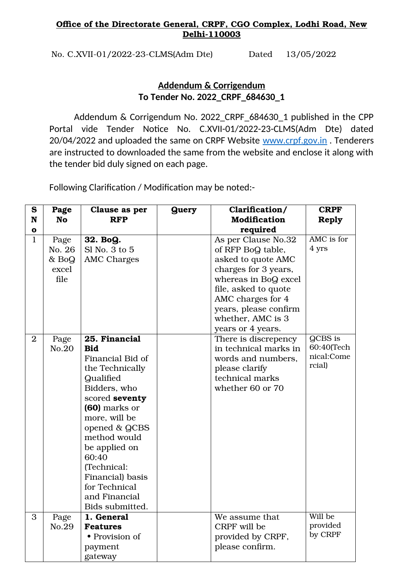## Office of the Directorate General, CRPF, CGO Complex, Lodhi Road, New Delhi-110003

No. C.XVII-01/2022-23-CLMS(Adm Dte) Dated 13/05/2022

## **Addendum & Corrigendum To Tender No. 2022\_CRPF\_684630\_1**

Addendum & Corrigendum No. 2022\_CRPF\_684630\_1 published in the CPP Portal vide Tender Notice No. C.XVII-01/2022-23-CLMS(Adm Dte) dated 20/04/2022 and uploaded the same on CRPF Website [www.crpf.gov.in](http://www.crpf.gov.in/). Tenderers are instructed to downloaded the same from the website and enclose it along with the tender bid duly signed on each page.

Following Clarification / Modification may be noted:-

| S              | Page      | Clause as per                   | <b>Query</b> | Clarification/        | <b>CRPF</b>              |
|----------------|-----------|---------------------------------|--------------|-----------------------|--------------------------|
| N              | <b>No</b> | <b>RFP</b>                      |              | <b>Modification</b>   | <b>Reply</b>             |
| O              |           |                                 |              | required              |                          |
| $\mathbf{1}$   | Page      | 32. BoQ.                        |              | As per Clause No.32   | AMC is for               |
|                | No. 26    | $SI$ No. 3 to $5$               |              | of RFP BoQ table,     | 4 yrs                    |
|                | $&$ BoQ   | <b>AMC Charges</b>              |              | asked to quote AMC    |                          |
|                | excel     |                                 |              | charges for 3 years,  |                          |
|                | file      |                                 |              | whereas in BoQ excel  |                          |
|                |           |                                 |              | file, asked to quote  |                          |
|                |           |                                 |              | AMC charges for 4     |                          |
|                |           |                                 |              | years, please confirm |                          |
|                |           |                                 |              | whether, AMC is 3     |                          |
|                |           |                                 |              | years or 4 years.     |                          |
| $\overline{2}$ | Page      | 25. Financial                   |              | There is discrepency  | QCBS is                  |
|                | No.20     | <b>Bid</b>                      |              | in technical marks in | 60:40(Tech<br>nical:Come |
|                |           | Financial Bid of                |              | words and numbers,    | rcial)                   |
|                |           | the Technically                 |              | please clarify        |                          |
|                |           | Qualified                       |              | technical marks       |                          |
|                |           | Bidders, who                    |              | whether 60 or 70      |                          |
|                |           | scored seventy<br>(60) marks or |              |                       |                          |
|                |           | more, will be                   |              |                       |                          |
|                |           | opened & QCBS                   |              |                       |                          |
|                |           | method would                    |              |                       |                          |
|                |           | be applied on                   |              |                       |                          |
|                |           | 60:40                           |              |                       |                          |
|                |           | (Technical:                     |              |                       |                          |
|                |           | Financial) basis                |              |                       |                          |
|                |           | for Technical                   |              |                       |                          |
|                |           | and Financial                   |              |                       |                          |
|                |           | Bids submitted.                 |              |                       |                          |
| 3              | Page      | 1. General                      |              | We assume that        | Will be                  |
|                | No.29     | <b>Features</b>                 |              | CRPF will be          | provided                 |
|                |           | • Provision of                  |              | provided by CRPF,     | by CRPF                  |
|                |           | payment                         |              | please confirm.       |                          |
|                |           | gateway                         |              |                       |                          |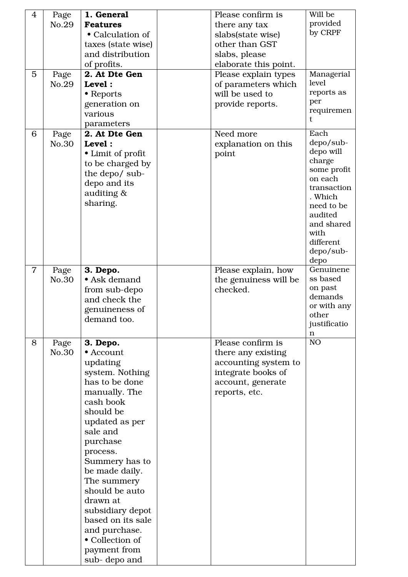| $\overline{4}$ | Page          | 1. General                          | Please confirm is                            | Will be                |
|----------------|---------------|-------------------------------------|----------------------------------------------|------------------------|
|                | No.29         | <b>Features</b><br>• Calculation of | there any tax<br>slabs(state wise)           | provided<br>by CRPF    |
|                |               | taxes (state wise)                  | other than GST                               |                        |
|                |               | and distribution                    | slabs, please                                |                        |
|                |               | of profits.                         | elaborate this point.                        |                        |
| 5              | Page          | 2. At Dte Gen                       | Please explain types                         | Managerial             |
|                | No.29         | Level:                              | of parameters which                          | level                  |
|                |               | • Reports                           | will be used to                              | reports as             |
|                |               | generation on                       | provide reports.                             | per                    |
|                |               | various                             |                                              | requiremen<br>t.       |
|                |               | parameters                          |                                              |                        |
| 6              | Page          | 2. At Dte Gen                       | Need more                                    | Each                   |
|                | No.30         | Level:                              | explanation on this                          | depo/sub-<br>depo will |
|                |               | • Limit of profit                   | point                                        | charge                 |
|                |               | to be charged by<br>the depo/ sub-  |                                              | some profit            |
|                |               | depo and its                        |                                              | on each                |
|                |               | auditing &                          |                                              | transaction            |
|                |               | sharing.                            |                                              | . Which<br>need to be  |
|                |               |                                     |                                              | audited                |
|                |               |                                     |                                              | and shared             |
|                |               |                                     |                                              | with                   |
|                |               |                                     |                                              | different              |
|                |               |                                     |                                              | depo/sub-              |
| $\overline{7}$ |               | 3. Depo.                            |                                              | depo<br>Genuinene      |
|                | Page<br>No.30 | • Ask demand                        | Please explain, how<br>the genuiness will be | ss based               |
|                |               | from sub-depo                       | checked.                                     | on past                |
|                |               | and check the                       |                                              | demands                |
|                |               | genuineness of                      |                                              | or with any            |
|                |               | demand too.                         |                                              | other<br>justificatio  |
|                |               |                                     |                                              | n                      |
| 8              | Page          | 3. Depo.                            | Please confirm is                            | NO <sub>1</sub>        |
|                | No.30         | • Account                           | there any existing                           |                        |
|                |               | updating                            | accounting system to                         |                        |
|                |               | system. Nothing                     | integrate books of                           |                        |
|                |               | has to be done                      | account, generate                            |                        |
|                |               | manually. The                       | reports, etc.                                |                        |
|                |               | cash book                           |                                              |                        |
|                |               | should be                           |                                              |                        |
|                |               | updated as per<br>sale and          |                                              |                        |
|                |               | purchase                            |                                              |                        |
|                |               | process.                            |                                              |                        |
|                |               | Summery has to                      |                                              |                        |
|                |               | be made daily.                      |                                              |                        |
|                |               | The summery                         |                                              |                        |
|                |               | should be auto                      |                                              |                        |
|                |               | drawn at                            |                                              |                        |
|                |               | subsidiary depot                    |                                              |                        |
|                |               | based on its sale                   |                                              |                        |
|                |               | and purchase.                       |                                              |                        |
|                |               | • Collection of<br>payment from     |                                              |                        |
|                |               | sub-depo and                        |                                              |                        |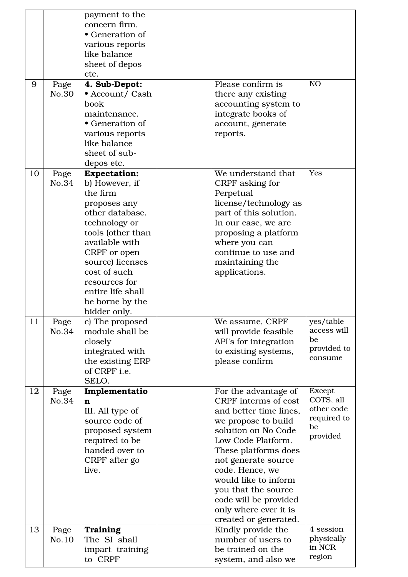|    |               | payment to the<br>concern firm.<br>• Generation of<br>various reports<br>like balance<br>sheet of depos<br>etc.                                                                                                                                                           |                                                                                                                                                                                                                                                                                                                                        |                                                                           |
|----|---------------|---------------------------------------------------------------------------------------------------------------------------------------------------------------------------------------------------------------------------------------------------------------------------|----------------------------------------------------------------------------------------------------------------------------------------------------------------------------------------------------------------------------------------------------------------------------------------------------------------------------------------|---------------------------------------------------------------------------|
| 9  | Page<br>No.30 | 4. Sub-Depot:<br>• Account/ Cash<br>book<br>maintenance.<br>• Generation of<br>various reports<br>like balance<br>sheet of sub-<br>depos etc.                                                                                                                             | Please confirm is<br>there any existing<br>accounting system to<br>integrate books of<br>account, generate<br>reports.                                                                                                                                                                                                                 | NO <sub>1</sub>                                                           |
| 10 | Page<br>No.34 | <b>Expectation:</b><br>b) However, if<br>the firm<br>proposes any<br>other database,<br>technology or<br>tools (other than<br>available with<br>CRPF or open<br>source) licenses<br>cost of such<br>resources for<br>entire life shall<br>be borne by the<br>bidder only. | We understand that<br>CRPF asking for<br>Perpetual<br>license/technology as<br>part of this solution.<br>In our case, we are<br>proposing a platform<br>where you can<br>continue to use and<br>maintaining the<br>applications.                                                                                                       | Yes                                                                       |
| 11 | Page<br>No.34 | c) The proposed<br>module shall be<br>closely<br>integrated with<br>the existing ERP<br>of CRPF i.e.<br>SELO.                                                                                                                                                             | We assume, CRPF<br>will provide feasible<br>API's for integration<br>to existing systems,<br>please confirm                                                                                                                                                                                                                            | yes/table<br>access will<br>be<br>provided to<br>consume                  |
| 12 | Page<br>No.34 | Implementatio<br>n<br>III. All type of<br>source code of<br>proposed system<br>required to be<br>handed over to<br>CRPF after go<br>live.                                                                                                                                 | For the advantage of<br>CRPF interms of cost<br>and better time lines,<br>we propose to build<br>solution on No Code<br>Low Code Platform.<br>These platforms does<br>not generate source<br>code. Hence, we<br>would like to inform<br>you that the source<br>code will be provided<br>only where ever it is<br>created or generated. | <b>Except</b><br>COTS, all<br>other code<br>required to<br>be<br>provided |
| 13 | Page<br>No.10 | <b>Training</b><br>The SI shall<br>impart training<br>to CRPF                                                                                                                                                                                                             | Kindly provide the<br>number of users to<br>be trained on the<br>system, and also we                                                                                                                                                                                                                                                   | 4 session<br>physically<br>in NCR<br>region                               |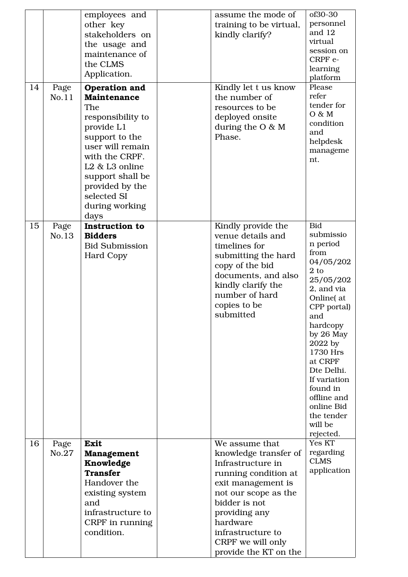| 14 | Page<br>No.11 | employees and<br>other key<br>stakeholders on<br>the usage and<br>maintenance of<br>the CLMS<br>Application.<br>Operation and<br><b>Maintenance</b><br>The<br>responsibility to<br>provide L1<br>support to the<br>user will remain<br>with the CRPF.<br>L <sub>2</sub> & L <sub>3</sub> online<br>support shall be<br>provided by the | assume the mode of<br>training to be virtual,<br>kindly clarify?<br>Kindly let t us know<br>the number of<br>resources to be<br>deployed onsite<br>during the $O \& M$<br>Phase.                                                                    | of30-30<br>personnel<br>and 12<br>virtual<br>session on<br>CRPF e-<br>learning<br>platform<br>Please<br>refer<br>tender for<br>O & M<br>condition<br>and<br>helpdesk<br>manageme<br>nt.                                                                                                                   |
|----|---------------|----------------------------------------------------------------------------------------------------------------------------------------------------------------------------------------------------------------------------------------------------------------------------------------------------------------------------------------|-----------------------------------------------------------------------------------------------------------------------------------------------------------------------------------------------------------------------------------------------------|-----------------------------------------------------------------------------------------------------------------------------------------------------------------------------------------------------------------------------------------------------------------------------------------------------------|
| 15 | Page<br>No.13 | selected SI<br>during working<br>days<br><b>Instruction to</b><br><b>Bidders</b><br><b>Bid Submission</b><br><b>Hard Copy</b>                                                                                                                                                                                                          | Kindly provide the<br>venue details and<br>timelines for<br>submitting the hard<br>copy of the bid<br>documents, and also<br>kindly clarify the<br>number of hard<br>copies to be<br>submitted                                                      | <b>Bid</b><br>submissio<br>n period<br>from<br>04/05/202<br>$2$ to<br>25/05/202<br>2, and via<br>Online(at)<br>CPP portal)<br>and<br>hardcopy<br>by 26 May<br>2022 by<br>1730 Hrs<br>at CRPF<br>Dte Delhi.<br>If variation<br>found in<br>offline and<br>online Bid<br>the tender<br>will be<br>rejected. |
| 16 | Page<br>No.27 | Exit<br><b>Management</b><br>Knowledge<br><b>Transfer</b><br>Handover the<br>existing system<br>and<br>infrastructure to<br>CRPF in running<br>condition.                                                                                                                                                                              | We assume that<br>knowledge transfer of<br>Infrastructure in<br>running condition at<br>exit management is<br>not our scope as the<br>bidder is not<br>providing any<br>hardware<br>infrastructure to<br>CRPF we will only<br>provide the KT on the | Yes KT<br>regarding<br><b>CLMS</b><br>application                                                                                                                                                                                                                                                         |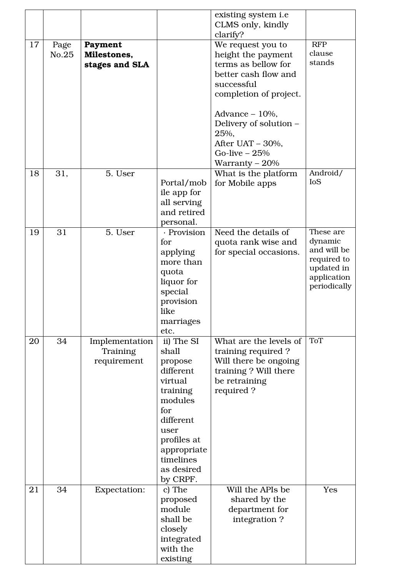|    |               |                                           |                                                                                                                                                                                | existing system i.e<br>CLMS only, kindly                                                                                       |                                                                                                 |  |  |
|----|---------------|-------------------------------------------|--------------------------------------------------------------------------------------------------------------------------------------------------------------------------------|--------------------------------------------------------------------------------------------------------------------------------|-------------------------------------------------------------------------------------------------|--|--|
|    |               |                                           |                                                                                                                                                                                | clarify?                                                                                                                       |                                                                                                 |  |  |
| 17 | Page<br>No.25 | Payment<br>Milestones,<br>stages and SLA  |                                                                                                                                                                                | We request you to<br>height the payment<br>terms as bellow for<br>better cash flow and<br>successful<br>completion of project. | <b>RFP</b><br>clause<br>stands                                                                  |  |  |
|    |               |                                           |                                                                                                                                                                                | Advance $-10%$ ,<br>Delivery of solution -<br>25%,<br>After UAT - 30%,<br>Go-live $-25%$<br>Warranty $-20%$                    |                                                                                                 |  |  |
| 18 | 31,           | 5. User                                   | Portal/mob<br>ile app for<br>all serving<br>and retired<br>personal.                                                                                                           | What is the platform<br>for Mobile apps                                                                                        | Android/<br><b>IoS</b>                                                                          |  |  |
| 19 | 31            | 5. User                                   | · Provision<br>for<br>applying<br>more than<br>quota<br>liquor for<br>special<br>provision<br>like<br>marriages<br>etc.                                                        | Need the details of<br>quota rank wise and<br>for special occasions.                                                           | These are<br>dynamic<br>and will be<br>required to<br>updated in<br>application<br>periodically |  |  |
| 20 | 34            | Implementation<br>Training<br>requirement | ii) The SI<br>shall<br>propose<br>different<br>virtual<br>training<br>modules<br>for<br>different<br>user<br>profiles at<br>appropriate<br>timelines<br>as desired<br>by CRPF. | What are the levels of<br>training required?<br>Will there be ongoing<br>training? Will there<br>be retraining<br>required?    | <b>ToT</b>                                                                                      |  |  |
| 21 | 34            | <b>Expectation:</b>                       | c) The<br>proposed<br>module<br>shall be<br>closely<br>integrated<br>with the<br>existing                                                                                      | Will the APIs be<br>shared by the<br>department for<br>integration?                                                            | Yes                                                                                             |  |  |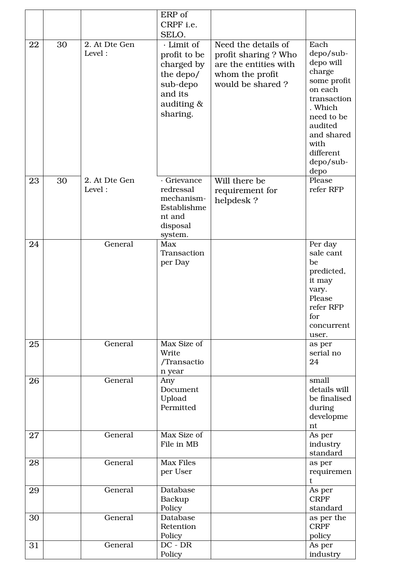|    |    |                         | ERP of<br>CRPF i.e.<br>SELO.                                                                           |                                                                                                             |                                                                                                                                                                               |
|----|----|-------------------------|--------------------------------------------------------------------------------------------------------|-------------------------------------------------------------------------------------------------------------|-------------------------------------------------------------------------------------------------------------------------------------------------------------------------------|
| 22 | 30 | 2. At Dte Gen<br>Level: | · Limit of<br>profit to be<br>charged by<br>the depo/<br>sub-depo<br>and its<br>auditing &<br>sharing. | Need the details of<br>profit sharing ? Who<br>are the entities with<br>whom the profit<br>would be shared? | Each<br>depo/sub-<br>depo will<br>charge<br>some profit<br>on each<br>transaction<br>. Which<br>need to be<br>audited<br>and shared<br>with<br>different<br>depo/sub-<br>depo |
| 23 | 30 | 2. At Dte Gen<br>Level: | · Grievance<br>redressal<br>mechanism-<br>Establishme<br>nt and<br>disposal<br>system.                 | Will there be<br>requirement for<br>helpdesk?                                                               | Please<br>refer RFP                                                                                                                                                           |
| 24 |    | General                 | Max<br>Transaction<br>per Day                                                                          |                                                                                                             | Per day<br>sale cant<br>be<br>predicted,<br>it may<br>vary.<br>Please<br>refer RFP<br>for<br>concurrent<br>user.                                                              |
| 25 |    | General                 | Max Size of<br>Write<br>/Transactio<br>n year                                                          |                                                                                                             | as per<br>serial no<br>24                                                                                                                                                     |
| 26 |    | General                 | Any<br>Document<br>Upload<br>Permitted                                                                 |                                                                                                             | small<br>details will<br>be finalised<br>during<br>developme<br>nt                                                                                                            |
| 27 |    | General                 | Max Size of<br>File in MB                                                                              |                                                                                                             | As per<br>industry<br>standard                                                                                                                                                |
| 28 |    | General                 | <b>Max Files</b><br>per User                                                                           |                                                                                                             | as per<br>requiremen<br>t                                                                                                                                                     |
| 29 |    | General                 | Database<br>Backup<br>Policy                                                                           |                                                                                                             | As per<br><b>CRPF</b><br>standard                                                                                                                                             |
| 30 |    | General                 | Database<br>Retention<br>Policy                                                                        |                                                                                                             | as per the<br><b>CRPF</b><br>policy                                                                                                                                           |
| 31 |    | General                 | $DC - DR$<br>Policy                                                                                    |                                                                                                             | As per<br>industry                                                                                                                                                            |